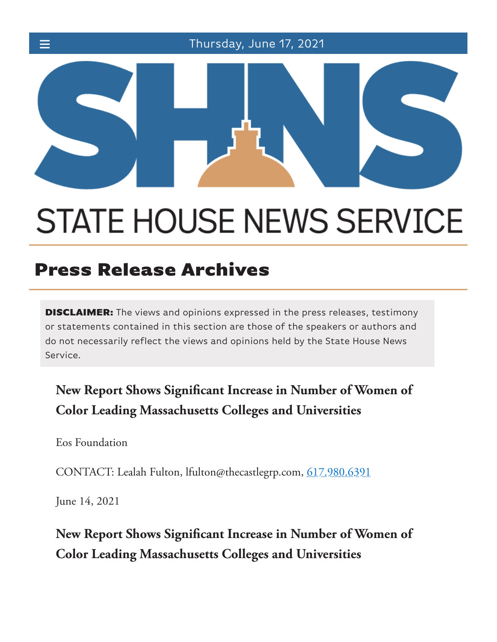☰ Thursday, June 17, 2021



# **STATE HOUSE NEWS SERVICE**

## Press Release Archives

**DISCLAIMER:** The views and opinions expressed in the press releases, testimony or statements contained in this section are those of the speakers or authors and do not necessarily reflect the views and opinions held by the State House News Service.

### **New Report Shows Signi!cant Increase in Number of Women of Color Leading Massachusetts Colleges and Universities**

Eos Foundation

CONTACT: Lealah Fulton, lfulton@thecastlegrp.com, 617.980.6391

June 14, 2021

**New Report Shows Signi!cant Increase in Number of Women of Color Leading Massachusetts Colleges and Universities**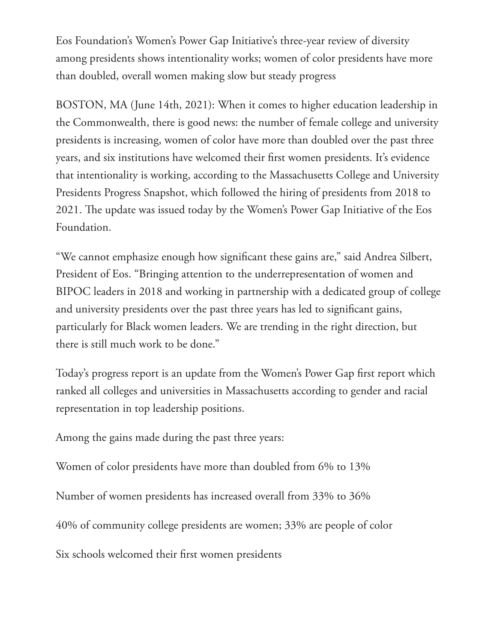Eos Foundation's Women's Power Gap Initiative's three-year review of diversity among presidents shows intentionality works; women of color presidents have more than doubled, overall women making slow but steady progress

BOSTON, MA (June 14th, 2021): When it comes to higher education leadership in the Commonwealth, there is good news: the number of female college and university presidents is increasing, women of color have more than doubled over the past three years, and six institutions have welcomed their first women presidents. It's evidence that intentionality is working, according to the Massachusetts College and University Presidents Progress Snapshot, which followed the hiring of presidents from 2018 to 2021. The update was issued today by the Women's Power Gap Initiative of the Eos Foundation.

"We cannot emphasize enough how significant these gains are," said Andrea Silbert, President of Eos. "Bringing attention to the underrepresentation of women and BIPOC leaders in 2018 and working in partnership with a dedicated group of college and university presidents over the past three years has led to significant gains, particularly for Black women leaders. We are trending in the right direction, but there is still much work to be done."

Today's progress report is an update from the Women's Power Gap first report which ranked all colleges and universities in Massachusetts according to gender and racial representation in top leadership positions.

Among the gains made during the past three years:

Women of color presidents have more than doubled from 6% to 13%

Number of women presidents has increased overall from 33% to 36%

40% of community college presidents are women; 33% are people of color

Six schools welcomed their first women presidents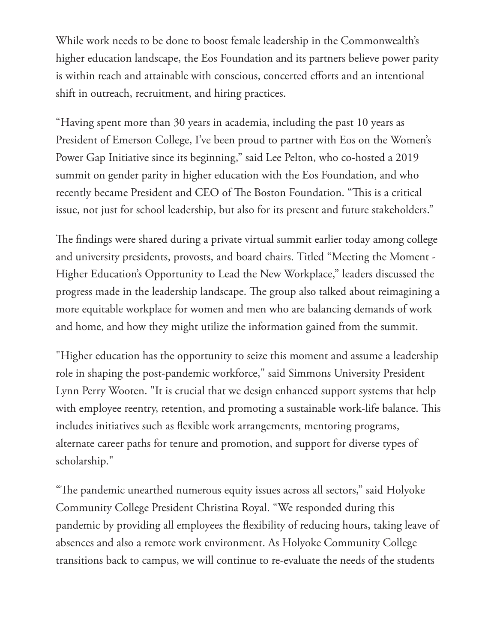While work needs to be done to boost female leadership in the Commonwealth's higher education landscape, the Eos Foundation and its partners believe power parity is within reach and attainable with conscious, concerted efforts and an intentional shift in outreach, recruitment, and hiring practices.

"Having spent more than 30 years in academia, including the past 10 years as President of Emerson College, I've been proud to partner with Eos on the Women's Power Gap Initiative since its beginning," said Lee Pelton, who co-hosted a 2019 summit on gender parity in higher education with the Eos Foundation, and who recently became President and CEO of The Boston Foundation. "This is a critical issue, not just for school leadership, but also for its present and future stakeholders."

The findings were shared during a private virtual summit earlier today among college and university presidents, provosts, and board chairs. Titled "Meeting the Moment - Higher Education's Opportunity to Lead the New Workplace," leaders discussed the progress made in the leadership landscape. The group also talked about reimagining a more equitable workplace for women and men who are balancing demands of work and home, and how they might utilize the information gained from the summit.

"Higher education has the opportunity to seize this moment and assume a leadership role in shaping the post-pandemic workforce," said Simmons University President Lynn Perry Wooten. "It is crucial that we design enhanced support systems that help with employee reentry, retention, and promoting a sustainable work-life balance. This includes initiatives such as flexible work arrangements, mentoring programs, alternate career paths for tenure and promotion, and support for diverse types of scholarship."

"The pandemic unearthed numerous equity issues across all sectors," said Holyoke Community College President Christina Royal. "We responded during this pandemic by providing all employees the flexibility of reducing hours, taking leave of absences and also a remote work environment. As Holyoke Community College transitions back to campus, we will continue to re-evaluate the needs of the students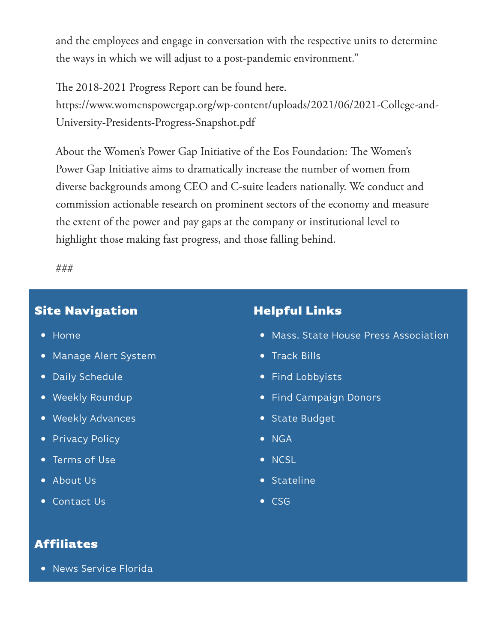and the employees and engage in conversation with the respective units to determine the ways in which we will adjust to a post-pandemic environment."

The 2018-2021 Progress Report can be found here. https://www.womenspowergap.org/wp-content/uploads/2021/06/2021-College-and-University-Presidents-Progress-Snapshot.pdf

About the Women's Power Gap Initiative of the Eos Foundation: The Women's Power Gap Initiative aims to dramatically increase the number of women from diverse backgrounds among CEO and C-suite leaders nationally. We conduct and commission actionable research on prominent sectors of the economy and measure the extent of the power and pay gaps at the company or institutional level to highlight those making fast progress, and those falling behind.

###

#### Site Navigation

- Home
- Manage Alert System
- Daily Schedule
- Weekly Roundup
- Weekly Advances
- Privacy Policy
- Terms of Use
- About Us
- Contact Us

#### Helpful Links

- Mass. State House Press Association
- Track Bills
- Find Lobbyists
- Find Campaign Donors
- State Budget
- NGA
- NCSL
- Stateline
- $\bullet$  CSG

#### Affiliates

News Service Florida